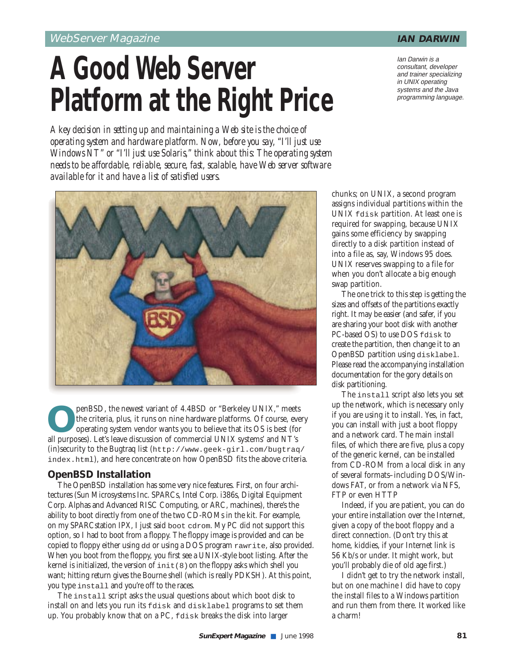# **A Good Web Server Platform at the Right Price**

*A key decision in setting up and maintaining a Web site is the choice of operating system and hardware platform. Now, before you say, "I'll just use Windows NT" or "I'll just use Solaris," think about this: The operating system needs to be affordable, reliable, secure, fast, scalable, have Web server software available for it and have a list of satisfied users.*

**O**penBSD, the newest variant of 4.4BSD or "Berkeley UNIX," meets<br>the criteria, plus, it runs on nine hardware platforms. Of course, ever<br>operating system vendor wants you to believe that its OS is best (for<br>all purposes). the criteria, plus, it runs on nine hardware platforms. Of course, every operating system vendor wants you to believe that its OS is best (for all purposes). Let's leave discussion of commercial UNIX systems' and NT's (in)security to the Bugtraq list (http://www.geek-girl.com/bugtraq/ index.html), and here concentrate on how OpenBSD fits the above criteria.

## **OpenBSD Installation**

The OpenBSD installation has some very nice features. First, on four architectures (Sun Microsystems Inc. SPARCs, Intel Corp. i386s, Digital Equipment Corp. Alphas and Advanced RISC Computing, or ARC, machines), there's the ability to boot directly from one of the two CD-ROMs in the kit. For example, on my SPARCstation IPX, I just said boot cdrom. My PC did not support this option, so I had to boot from a floppy. The floppy image is provided and can be copied to floppy either using dd or using a DOS program rawrite, also provided. When you boot from the floppy, you first see a UNIX-style boot listing. After the kernel is initialized, the version of  $init(8)$  on the floppy asks which shell you want; hitting return gives the Bourne shell (which is really PDKSH). At this point, you type install and you're off to the races.

The install script asks the usual questions about which boot disk to install on and lets you run its fdisk and disklabel programs to set them up. You probably know that on a PC, fdisk breaks the disk into larger

chunks; on UNIX, a second program assigns individual partitions within the UNIX fdisk partition. At least one is required for swapping, because UNIX gains some efficiency by swapping directly to a disk partition instead of into a file as, say, Windows 95 does. UNIX reserves swapping to a file for when you don't allocate a big enough swap partition.

The one trick to this step is getting the sizes and offsets of the partitions exactly right. It may be easier (and safer, if you are sharing your boot disk with another PC-based OS) to use DOS fdisk to create the partition, then change it to an OpenBSD partition using disklabel. Please read the accompanying installation documentation for the gory details on disk partitioning.

The install script also lets you set up the network, which is necessary only if you are using it to install. Yes, in fact, you can install with just a boot floppy and a network card. The main install files, of which there are five, plus a copy of the generic kernel, can be installed from CD-ROM from a local disk in any of several formats–including DOS/Windows FAT, or from a network via NFS, FTP or even HTTP

Indeed, if you are patient, you can do your entire installation over the Internet, given a copy of the boot floppy and a direct connection. (Don't try this at home, kiddies, if your Internet link is 56 Kb/s or under. It might work, but you'll probably die of old age first.)

I didn't get to try the network install, but on one machine I did have to copy the install files to a Windows partition and run them from there. It worked like a charm!



Ian Darwin is a consultant, developer and trainer specializing in UNIX operating systems and the Java programming language.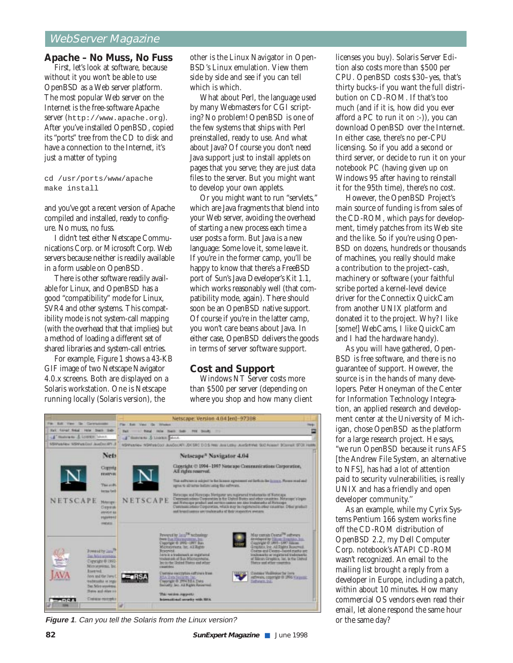# WebServer Magazine

#### **Apache – No Muss, No Fuss**

First, let's look at software, because without it you won't be able to use OpenBSD as a Web server platform. The most popular Web server on the Internet is the free-software Apache server (http://www.apache.org). After you've installed OpenBSD, copied its "ports" tree from the CD to disk and have a connection to the Internet, it's just a matter of typing

cd /usr/ports/www/apache make install

and you've got a recent version of Apache compiled and installed, ready to configure. No muss, no fuss.

I didn't test either Netscape Communications Corp. or Microsoft Corp. Web servers because neither is readily available in a form usable on OpenBSD.

There is other software readily available for Linux, and OpenBSD has a good "compatibility" mode for Linux, SVR4 and other systems. This compatibility mode is not system-call mapping (with the overhead that that implies) but a method of loading a different set of shared libraries and system-call entries.

For example, Figure 1 shows a 43-KB GIF image of two Netscape Navigator 4.0.x screens. Both are displayed on a Solaris workstation. One is Netscape running locally (Solaris version), the

other is the Linux Navigator in Open-BSD's Linux emulation. View them side by side and see if you can tell which is which.

What about Perl, the language used by many Webmasters for CGI scripting? No problem! OpenBSD is one of the few systems that ships with Perl preinstalled, ready to use. And what about Java? Of course you don't need Java support just to install applets on pages that you serve; they are just data files to the server. But you might want to develop your own applets.

Or you might want to run "servlets," which are Java fragments that blend into your Web server, avoiding the overhead of starting a new process each time a user posts a form. But Java is a new language: Some love it, some leave it. If you're in the former camp, you'll be happy to know that there's a FreeBSD port of Sun's Java Developer's Kit 1.1, which works reasonably well (that compatibility mode, again). There should soon be an OpenBSD native support. Of course if you're in the latter camp, you won't care beans about Java. In either case, OpenBSD delivers the goods in terms of server software support.

#### **Cost and Support**

Windows NT Server costs more than \$500 per server (depending on where you shop and how many client

|                                                                                               | Netscape: Version 4.04 [en]-97308                                                                                                                                                                                                                                                                                                                                                                                      |                                                                                                                                                  |                                                                                                                                                        |       |
|-----------------------------------------------------------------------------------------------|------------------------------------------------------------------------------------------------------------------------------------------------------------------------------------------------------------------------------------------------------------------------------------------------------------------------------------------------------------------------------------------------------------------------|--------------------------------------------------------------------------------------------------------------------------------------------------|--------------------------------------------------------------------------------------------------------------------------------------------------------|-------|
| <b>Bull View Sky</b><br><b>Fax</b><br>Ceretarinales                                           | Fig. East View Gr. Western                                                                                                                                                                                                                                                                                                                                                                                             |                                                                                                                                                  |                                                                                                                                                        | Help: |
| <b>Salt Asset Mikel -</b><br><b>Hiller Diegold State</b>                                      | Ball  Field Falls Daily Gulf-<br>FIRE Driver 1777                                                                                                                                                                                                                                                                                                                                                                      |                                                                                                                                                  |                                                                                                                                                        |       |
| -4 maternals & Louison about                                                                  | Filminiana & Linkin South                                                                                                                                                                                                                                                                                                                                                                                              |                                                                                                                                                  |                                                                                                                                                        |       |
| <b>USWashing SSWashing advertising</b>                                                        |                                                                                                                                                                                                                                                                                                                                                                                                                        | MORVANIA: NOMINECOO JEACOLIN'I JDI SRC D.O.S HWI Jeza Lebu Jeza Christi SLC Associ BOsnell STOL Hellin                                           |                                                                                                                                                        |       |
| Nets                                                                                          |                                                                                                                                                                                                                                                                                                                                                                                                                        | Netscape <sup>®</sup> Navigator 4.04                                                                                                             |                                                                                                                                                        |       |
| Copyrig<br><b>EXHIBITION</b>                                                                  |                                                                                                                                                                                                                                                                                                                                                                                                                        | Coperight @ 1994-1997 Netscape Consmunications Corporation,<br>All rights reserved.                                                              |                                                                                                                                                        |       |
| This art Ri<br>tornal lock                                                                    |                                                                                                                                                                                                                                                                                                                                                                                                                        | This sufficient is subject to the license experiment set forth in the terms r. Please read and<br>servic to all'armo before lating this extreme. |                                                                                                                                                        |       |
| <b>NETSCAPE</b><br><b>Hotelspi</b><br>Dopout<br><b><i>URTWORF</i></b> BU<br>regalessi<br>mens | Netscape and Newcope Novigator are regimered traitements of Netscape<br>Comment retires Commention in the United Business and other countries. Meteorogy Islages<br>NETSCAPE<br>and Nationale product and northce capital and also bedonesha of Hutsonge.<br>Communications Corporation, which may be registered to other countries: Diffeor product<br>and brand pasters are tourismades of their respective awerers. |                                                                                                                                                  |                                                                                                                                                        |       |
|                                                                                               | Brannerst.                                                                                                                                                                                                                                                                                                                                                                                                             | Prevent by Jaco <sup>786</sup> to chestray<br>from that History stress, Inc.<br>Cayeright @ 2990 - LBIY, Sun<br>Microsystems, Inc. All Runn-     | May consin Coana <sup>280</sup> sufferers<br>developed by Elizabe Granton, Inc.<br>Copyright @ 1895-1897 Salumi<br>Graphics, Inc. All Rights Reserved. |       |

**Figure 1**. Can you tell the Solaris from the Linux version?

**82 SunExpert Magazine** ■ June 1998

licenses you buy). Solaris Server Edition also costs more than \$500 per CPU. OpenBSD costs \$30–yes, that's thirty bucks–if you want the full distribution on CD-ROM. If that's too much (and if it is, how did you ever afford a PC to run it on :-)), you can download OpenBSD over the Internet. In either case, there's no per-CPU licensing. So if you add a second or third server, or decide to run it on your notebook PC (having given up on Windows 95 after having to reinstall it for the 95th time), there's no cost.

However, the OpenBSD Project's main source of funding is from sales of the CD-ROM, which pays for development, timely patches from its Web site and the like. So if you're using Open-BSD on dozens, hundreds or thousands of machines, you really should make a contribution to the project–cash, machinery or software (your faithful scribe ported a kernel-level device driver for the Connectix QuickCam from another UNIX platform and donated it to the project. Why? I like [some!] WebCams, I like QuickCam and I had the hardware handy).

As you will have gathered, Open-BSD is free software, and there is no guarantee of support. However, the source is in the hands of many developers. Peter Honeyman of the Center for Information Technology Integration, an applied research and development center at the University of Michigan, chose OpenBSD as the platform for a large research project. He says, "we run OpenBSD because it runs AFS [the Andrew File System, an alternative to NFS], has had a lot of attention paid to security vulnerabilities, is really UNIX and has a friendly and open developer community.''

As an example, while my Cyrix Systems Pentium 166 system works fine off the CD-ROM distribution of OpenBSD 2.2, my Dell Computer Corp. notebook's ATAPI CD-ROM wasn't recognized. An email to the mailing list brought a reply from a developer in Europe, including a patch, within about 10 minutes. How many commercial OS vendors even read their email, let alone respond the same hour or the same day?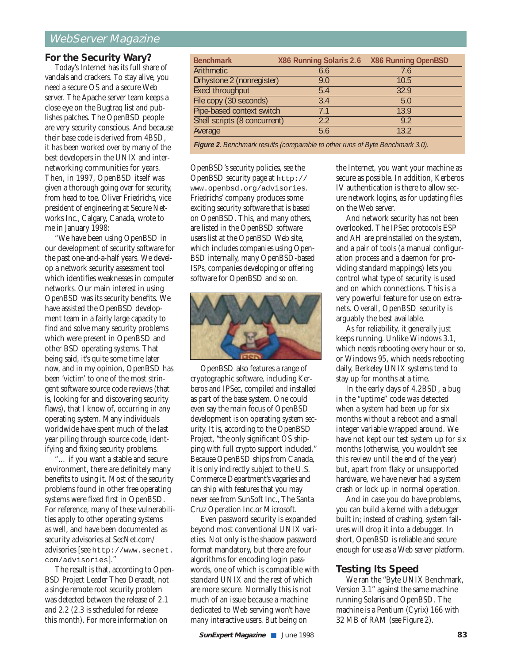# WebServer Magazine

### **For the Security Wary?**

Today's Internet has its full share of vandals and crackers. To stay alive, you need a secure OS and a secure Web server. The Apache server team keeps a close eye on the Bugtraq list and publishes patches. The OpenBSD people are very security conscious. And because their base code is derived from 4BSD, it has been worked over by many of the best developers in the UNIX and internetworking communities for years. Then, in 1997, OpenBSD itself was given a thorough going over for security, from head to toe. Oliver Friedrichs, vice president of engineering at Secure Networks Inc., Calgary, Canada, wrote to me in January 1998:

"We have been using OpenBSD in our development of security software for the past one-and-a-half years. We develop a network security assessment tool which identifies weaknesses in computer networks. Our main interest in using OpenBSD was its security benefits. We have assisted the OpenBSD development team in a fairly large capacity to find and solve many security problems which were present in OpenBSD and other BSD operating systems. That being said, it's quite some time later now, and in my opinion, OpenBSD has been 'victim' to one of the most stringent software source code reviews (that is, looking for and discovering security flaws), that I know of, occurring in any operating system. Many individuals worldwide have spent much of the last year piling through source code, identifying and fixing security problems.

"… if you want a stable and secure environment, there are definitely many benefits to using it. Most of the security problems found in other free operating systems were fixed first in OpenBSD. For reference, many of these vulnerabilities apply to other operating systems as well, and have been documented as security advisories at SecNet.com/ advisories [see http://www.secnet. com/advisories]."

The result is that, according to Open-BSD Project Leader Theo Deraadt, not a single remote root security problem was detected between the release of 2.1 and 2.2 (2.3 is scheduled for release this month). For more information on

| <b>Benchmark</b>             | X86 Running Solaris 2.6 X86 Running OpenBSD |      |
|------------------------------|---------------------------------------------|------|
| Arithmetic                   | 6.6                                         | 7.6  |
| Drhystone 2 (nonregister)    | 9.0                                         | 10.5 |
| Execl throughput             | 5.4                                         | 32.9 |
| File copy (30 seconds)       | 3.4                                         | 5.0  |
| Pipe-based context switch    | 7 <sub>1</sub>                              | 13.9 |
| Shell scripts (8 concurrent) | 22                                          | 92   |
| Average                      | 5.6                                         | 132  |
|                              |                                             |      |

Figure 2. Benchmark results (comparable to other runs of Byte Benchmark 3.0).

OpenBSD's security policies, see the OpenBSD security page at http:// www.openbsd.org/advisories. Friedrichs' company produces some exciting security software that is based on OpenBSD. This, and many others, are listed in the OpenBSD software users list at the OpenBSD Web site, which includes companies using Open-BSD internally, many OpenBSD-based ISPs, companies developing or offering software for OpenBSD and so on.



OpenBSD also features a range of cryptographic software, including Kerberos and IPSec, compiled and installed as part of the base system. One could even say the main focus of OpenBSD development is on operating system security. It is, according to the OpenBSD Project, "the only significant OS shipping with full crypto support included." Because OpenBSD ships from Canada, it is only indirectly subject to the U.S. Commerce Department's vagaries and can ship with features that you may never see from SunSoft Inc., The Santa Cruz Operation Inc.or Microsoft.

Even password security is expanded beyond most conventional UNIX varieties. Not only is the shadow password format mandatory, but there are four algorithms for encoding login passwords, one of which is compatible with standard UNIX and the rest of which are more secure. Normally this is not much of an issue because a machine dedicated to Web serving won't have many interactive users. But being on

the Internet, you want your machine as secure as possible. In addition, Kerberos IV authentication is there to allow secure network logins, as for updating files on the Web server.

And network security has not been overlooked. The IPSec protocols ESP and AH are preinstalled on the system, and a pair of tools (a manual configuration process and a daemon for providing standard mappings) lets you control what type of security is used and on which connections. This is a very powerful feature for use on extranets. Overall, OpenBSD security is arguably the best available.

As for reliability, it generally just keeps running. Unlike Windows 3.1, which needs rebooting every hour or so, or Windows 95, which needs rebooting daily, Berkeley UNIX systems tend to stay up for months at a time.

In the early days of 4.2BSD, a bug in the "uptime" code was detected when a system had been up for six months without a reboot and a small integer variable wrapped around. We have not kept our test system up for six months (otherwise, you wouldn't see this review until the end of the year) but, apart from flaky or unsupported hardware, we have never had a system crash or lock up in normal operation.

And in case you do have problems, you can build a kernel with a debugger built in; instead of crashing, system failures will drop it into a debugger. In short, OpenBSD is reliable and secure enough for use as a Web server platform.

### **Testing Its Speed**

We ran the "Byte UNIX Benchmark, Version 3.1" against the same machine running Solaris and OpenBSD. The machine is a Pentium (Cyrix) 166 with 32 MB of RAM (see Figure 2).